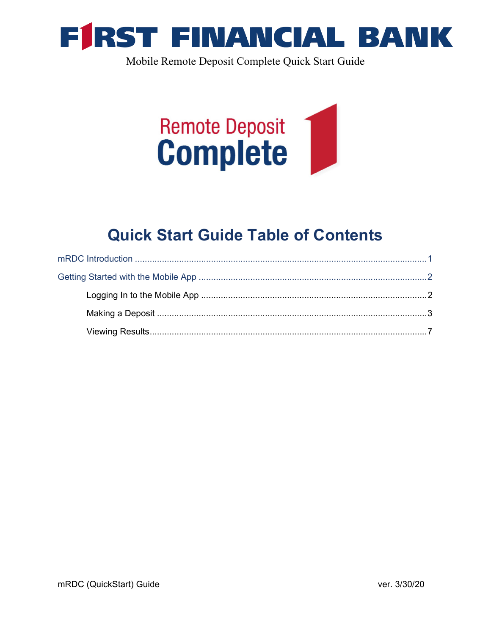

Mobile Remote Deposit Complete Quick Start Guide



## **Quick Start Guide Table of Contents**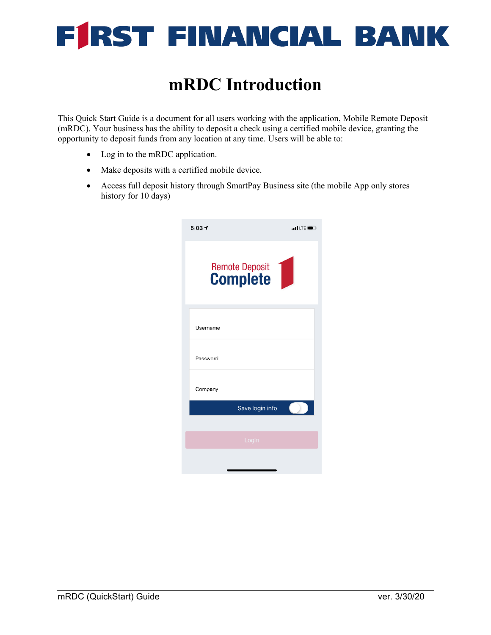

### **mRDC Introduction**

This Quick Start Guide is a document for all users working with the application, Mobile Remote Deposit (mRDC). Your business has the ability to deposit a check using a certified mobile device, granting the opportunity to deposit funds from any location at any time. Users will be able to:

- Log in to the mRDC application.
- Make deposits with a certified mobile device.
- Access full deposit history through SmartPay Business site (the mobile App only stores history for 10 days)

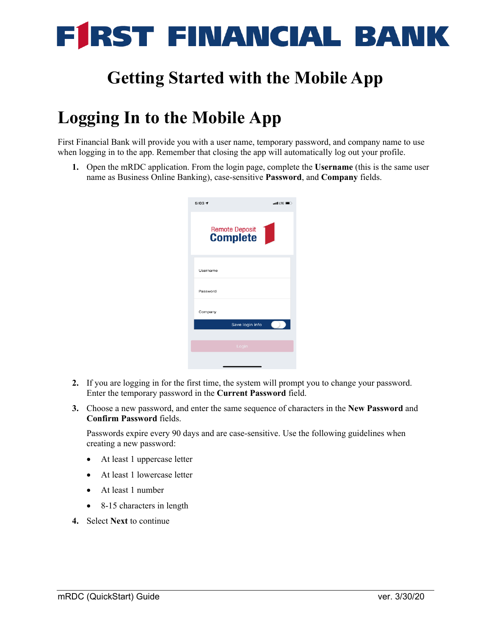

## **Getting Started with the Mobile App**

## **Logging In to the Mobile App**

First Financial Bank will provide you with a user name, temporary password, and company name to use when logging in to the app. Remember that closing the app will automatically log out your profile.

**1.** Open the mRDC application. From the login page, complete the **Username** (this is the same user name as Business Online Banking), case-sensitive **Password**, and **Company** fields.

| Remote Deposit<br><b>Complete</b><br>Username<br>Password<br>Company<br>Save login info<br>Login | $5:03 +$ | $\blacksquare$ LTE |
|--------------------------------------------------------------------------------------------------|----------|--------------------|
|                                                                                                  |          |                    |
|                                                                                                  |          |                    |
|                                                                                                  |          |                    |
|                                                                                                  |          |                    |
|                                                                                                  |          |                    |
|                                                                                                  |          |                    |
|                                                                                                  |          |                    |

- **2.** If you are logging in for the first time, the system will prompt you to change your password. Enter the temporary password in the **Current Password** field.
- **3.** Choose a new password, and enter the same sequence of characters in the **New Password** and **Confirm Password** fields.

Passwords expire every 90 days and are case-sensitive. Use the following guidelines when creating a new password:

- At least 1 uppercase letter
- At least 1 lowercase letter
- At least 1 number
- 8-15 characters in length
- **4.** Select **Next** to continue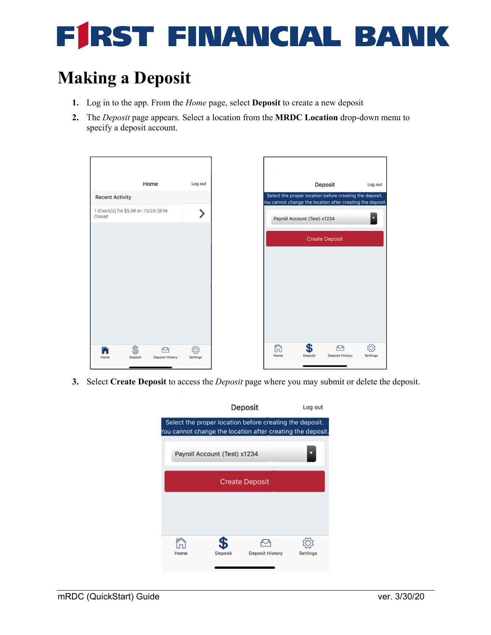# **FIRST FINANCIAL BAN**

# **Making a Deposit**

- **1.** Log in to the app. From the *Home* page, select **Deposit** to create a new deposit
- **2.** The *Deposit* page appears. Select a location from the **MRDC Location** drop-down menu to specify a deposit account.



**3.** Select **Create Deposit** to access the *Deposit* page where you may submit or delete the deposit.

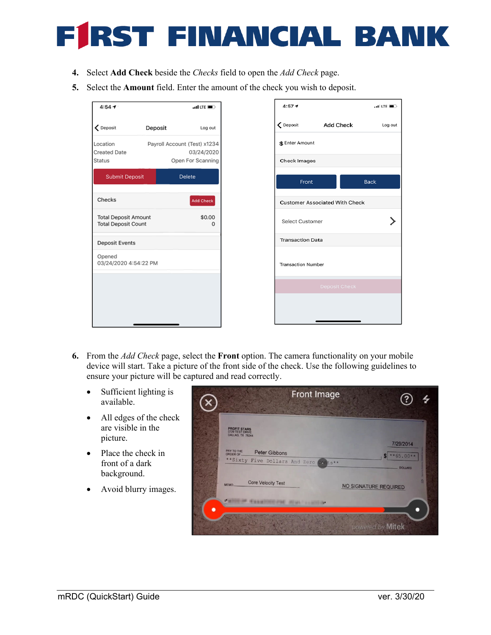#### *RST FINANCIAL BANK* Ħ

- **4.** Select **Add Check** beside the *Checks* field to open the *Add Check* page.
- **5.** Select the **Amount** field. Enter the amount of the check you wish to deposit.

| $4:54 - 7$                                                |         | $m$ LTE $\blacksquare$          |
|-----------------------------------------------------------|---------|---------------------------------|
| ← Deposit                                                 | Deposit | Log out                         |
| Location                                                  |         | Payroll Account (Test) x1234    |
| <b>Created Date</b><br>Status                             |         | 03/24/2020<br>Open For Scanning |
| Submit Deposit                                            |         | Delete                          |
| Checks                                                    |         | Add Check                       |
| <b>Total Deposit Amount</b><br><b>Total Deposit Count</b> |         | \$0.00<br>n                     |
| <b>Deposit Events</b>                                     |         |                                 |
| Opened<br>03/24/2020 4:54:22 PM                           |         |                                 |
|                                                           |         |                                 |
|                                                           |         |                                 |
|                                                           |         |                                 |

| $4:57 +$                  |                                       | $ul$ LTE $\blacksquare$ |
|---------------------------|---------------------------------------|-------------------------|
| ← Deposit                 | Add Check                             | Log out                 |
| \$ Enter Amount           |                                       |                         |
| <b>Check Images</b>       |                                       |                         |
| Front                     |                                       | <b>Back</b>             |
|                           | <b>Customer Associated With Check</b> |                         |
| Select Customer           |                                       |                         |
| <b>Transaction Data</b>   |                                       |                         |
| <b>Transaction Number</b> |                                       |                         |
|                           | <b>Deposit Check</b>                  |                         |
|                           |                                       |                         |
|                           |                                       |                         |

- **6.** From the *Add Check* page, select the **Front** option. The camera functionality on your mobile device will start. Take a picture of the front side of the check. Use the following guidelines to ensure your picture will be captured and read correctly.
	- Sufficient lighting is available.
	- All edges of the check are visible in the picture.
	- Place the check in front of a dark background.
	- Avoid blurry images.

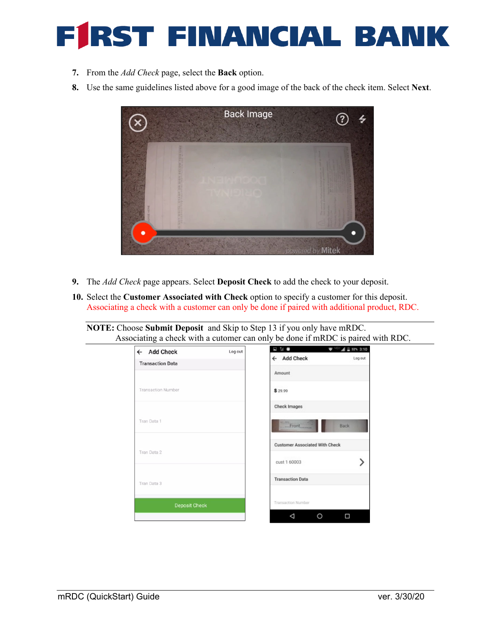#### RST FINANCIAL BANK E

- **7.** From the *Add Check* page, select the **Back** option.
- **8.** Use the same guidelines listed above for a good image of the back of the check item. Select **Next**.



- **9.** The *Add Check* page appears. Select **Deposit Check** to add the check to your deposit.
- **10.** Select the **Customer Associated with Check** option to specify a customer for this deposit. Associating a check with a customer can only be done if paired with additional product, RDC.

**NOTE:** Choose **Submit Deposit** and Skip to Step 13 if you only have mRDC. Associating a check with a cutomer can only be done if mRDC is paired with RDC.

| ← Add Check               | Log out | 电阻器                                   | $\overline{\mathbf{v}}$ <sup>-101</sup> $\mathbf{A}$ = 32% 3:10 |
|---------------------------|---------|---------------------------------------|-----------------------------------------------------------------|
| <b>Transaction Data</b>   |         | ← Add Check                           | Log out                                                         |
|                           |         | Amount                                |                                                                 |
| <b>Transaction Number</b> |         | \$29.99                               |                                                                 |
|                           |         | Check Images                          |                                                                 |
| Tran Data 1               |         | Front.                                | Back                                                            |
| Tran Data 2               |         | <b>Customer Associated With Check</b> |                                                                 |
|                           |         | cust 1 60003                          |                                                                 |
| Tran Data 3               |         | <b>Transaction Data</b>               |                                                                 |
| <b>Deposit Check</b>      |         | Transaction Number                    |                                                                 |
|                           |         | ⊲                                     | □                                                               |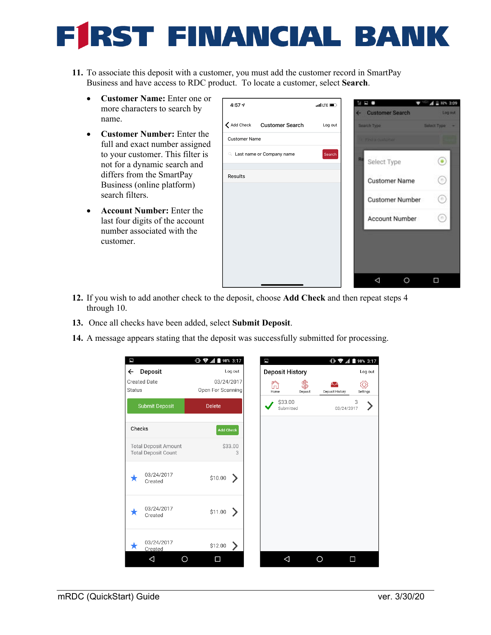# RST FINANCIAL BANK

- **11.** To associate this deposit with a customer, you must add the customer record in SmartPay Business and have access to RDC product. To locate a customer, select **Search**.
	- **Customer Name:** Enter one or more characters to search by name.
	- **Customer Number:** Enter the full and exact number assigned to your customer. This filter is not for a dynamic search and differs from the SmartPay Business (online platform) search filters.
	- **Account Number:** Enter the last four digits of the account number associated with the customer.



- **12.** If you wish to add another check to the deposit, choose **Add Check** and then repeat steps 4 through 10.
- **13.** Once all checks have been added, select **Submit Deposit**.
- **14.** A message appears stating that the deposit was successfully submitted for processing.

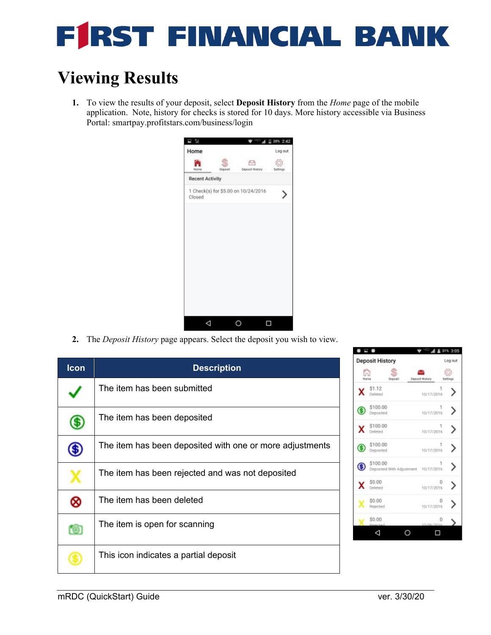#### RST FINANCIAL BAN E

# **Viewing Results**

**1.** To view the results of your deposit, select **Deposit History** from the *Home* page of the mobile application. Note, history for checks is stored for 10 days. More history accessible via Business Portal: smartpay.profitstars.com/business/login



**2.** The *Deposit History* page appears. Select the deposit you wish to view.

| <b>Icon</b> | <b>Description</b>                                       |
|-------------|----------------------------------------------------------|
|             | The item has been submitted                              |
|             | The item has been deposited                              |
|             | The item has been deposited with one or more adjustments |
|             | The item has been rejected and was not deposited         |
| 8           | The item has been deleted                                |
| ťО          | The item is open for scanning                            |
|             | This icon indicates a partial deposit                    |